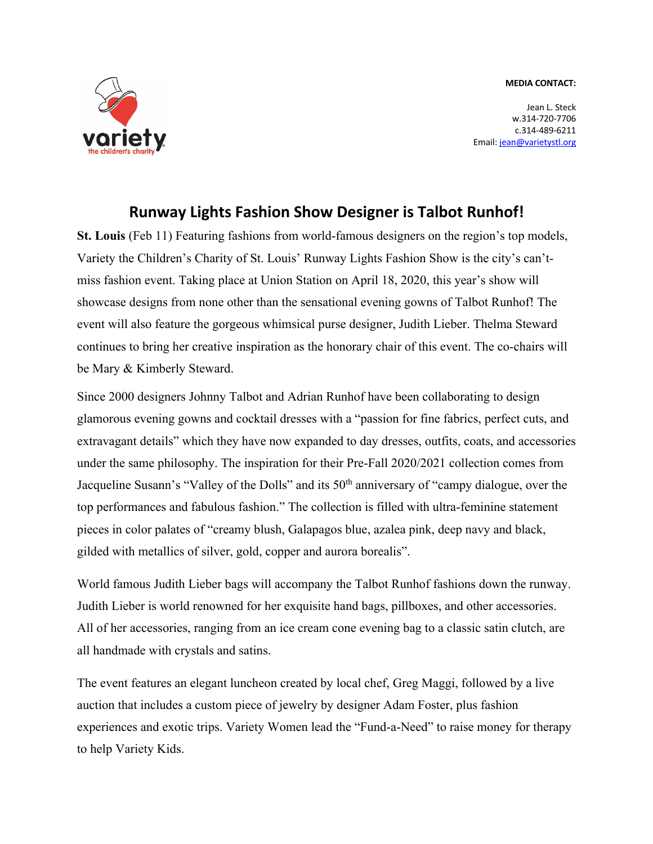#### **MEDIA CONTACT:**



Jean L. Steck w.314-720-7706 c.314-489-6211 Email: jean@varietystl.org

# **Runway Lights Fashion Show Designer is Talbot Runhof!**

**St. Louis** (Feb 11) Featuring fashions from world-famous designers on the region's top models, Variety the Children's Charity of St. Louis' Runway Lights Fashion Show is the city's can'tmiss fashion event. Taking place at Union Station on April 18, 2020, this year's show will showcase designs from none other than the sensational evening gowns of Talbot Runhof! The event will also feature the gorgeous whimsical purse designer, Judith Lieber. Thelma Steward continues to bring her creative inspiration as the honorary chair of this event. The co-chairs will be Mary & Kimberly Steward.

Since 2000 designers Johnny Talbot and Adrian Runhof have been collaborating to design glamorous evening gowns and cocktail dresses with a "passion for fine fabrics, perfect cuts, and extravagant details" which they have now expanded to day dresses, outfits, coats, and accessories under the same philosophy. The inspiration for their Pre-Fall 2020/2021 collection comes from Jacqueline Susann's "Valley of the Dolls" and its 50<sup>th</sup> anniversary of "campy dialogue, over the top performances and fabulous fashion." The collection is filled with ultra-feminine statement pieces in color palates of "creamy blush, Galapagos blue, azalea pink, deep navy and black, gilded with metallics of silver, gold, copper and aurora borealis".

World famous Judith Lieber bags will accompany the Talbot Runhof fashions down the runway. Judith Lieber is world renowned for her exquisite hand bags, pillboxes, and other accessories. All of her accessories, ranging from an ice cream cone evening bag to a classic satin clutch, are all handmade with crystals and satins.

The event features an elegant luncheon created by local chef, Greg Maggi, followed by a live auction that includes a custom piece of jewelry by designer Adam Foster, plus fashion experiences and exotic trips. Variety Women lead the "Fund-a-Need" to raise money for therapy to help Variety Kids.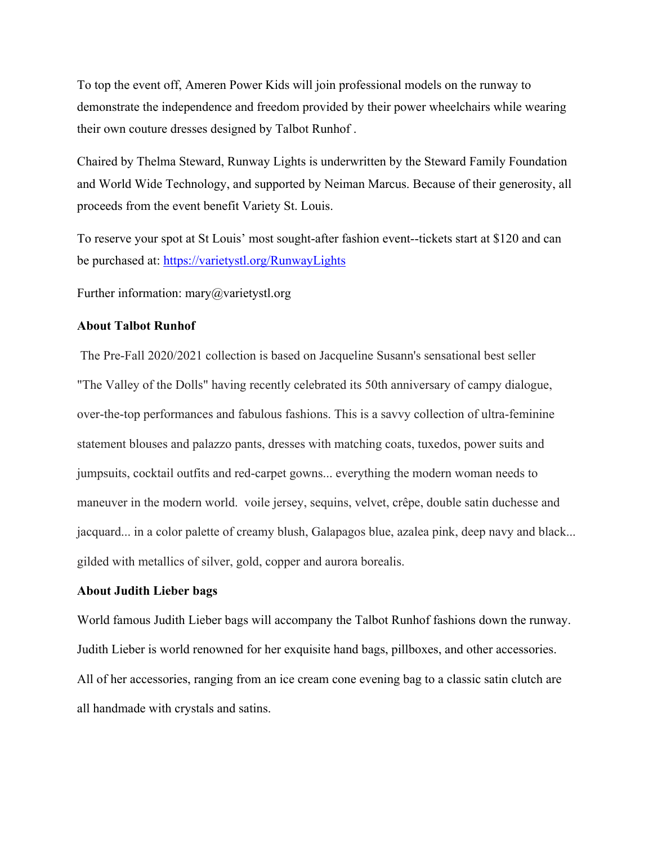To top the event off, Ameren Power Kids will join professional models on the runway to demonstrate the independence and freedom provided by their power wheelchairs while wearing their own couture dresses designed by Talbot Runhof .

Chaired by Thelma Steward, Runway Lights is underwritten by the Steward Family Foundation and World Wide Technology, and supported by Neiman Marcus. Because of their generosity, all proceeds from the event benefit Variety St. Louis.

To reserve your spot at St Louis' most sought-after fashion event--tickets start at \$120 and can be purchased at: https://varietystl.org/RunwayLights

Further information: mary@varietystl.org

## **About Talbot Runhof**

The Pre-Fall 2020/2021 collection is based on Jacqueline Susann's sensational best seller "The Valley of the Dolls" having recently celebrated its 50th anniversary of campy dialogue, over-the-top performances and fabulous fashions. This is a savvy collection of ultra-feminine statement blouses and palazzo pants, dresses with matching coats, tuxedos, power suits and jumpsuits, cocktail outfits and red-carpet gowns... everything the modern woman needs to maneuver in the modern world. voile jersey, sequins, velvet, crêpe, double satin duchesse and jacquard... in a color palette of creamy blush, Galapagos blue, azalea pink, deep navy and black... gilded with metallics of silver, gold, copper and aurora borealis.

### **About Judith Lieber bags**

World famous Judith Lieber bags will accompany the Talbot Runhof fashions down the runway. Judith Lieber is world renowned for her exquisite hand bags, pillboxes, and other accessories. All of her accessories, ranging from an ice cream cone evening bag to a classic satin clutch are all handmade with crystals and satins.